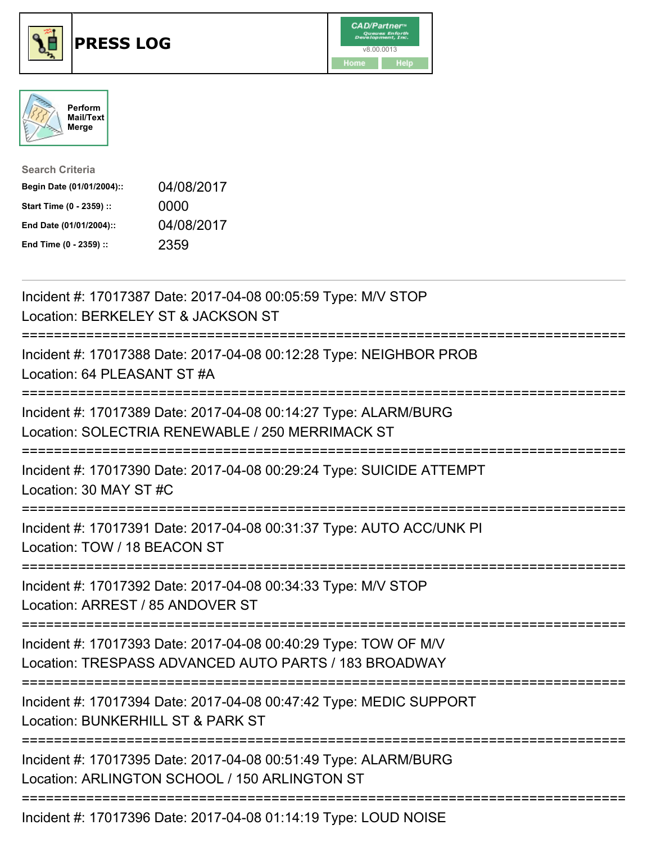





| <b>Search Criteria</b>    |            |
|---------------------------|------------|
| Begin Date (01/01/2004):: | 04/08/2017 |
| Start Time (0 - 2359) ::  | 0000       |
| End Date (01/01/2004)::   | 04/08/2017 |
| End Time (0 - 2359) ::    | 2359       |

| Incident #: 17017387 Date: 2017-04-08 00:05:59 Type: M/V STOP<br>Location: BERKELEY ST & JACKSON ST                                                      |
|----------------------------------------------------------------------------------------------------------------------------------------------------------|
| Incident #: 17017388 Date: 2017-04-08 00:12:28 Type: NEIGHBOR PROB<br>Location: 64 PLEASANT ST #A                                                        |
| Incident #: 17017389 Date: 2017-04-08 00:14:27 Type: ALARM/BURG<br>Location: SOLECTRIA RENEWABLE / 250 MERRIMACK ST                                      |
| Incident #: 17017390 Date: 2017-04-08 00:29:24 Type: SUICIDE ATTEMPT<br>Location: 30 MAY ST #C                                                           |
| Incident #: 17017391 Date: 2017-04-08 00:31:37 Type: AUTO ACC/UNK PI<br>Location: TOW / 18 BEACON ST                                                     |
| Incident #: 17017392 Date: 2017-04-08 00:34:33 Type: M/V STOP<br>Location: ARREST / 85 ANDOVER ST                                                        |
| Incident #: 17017393 Date: 2017-04-08 00:40:29 Type: TOW OF M/V<br>Location: TRESPASS ADVANCED AUTO PARTS / 183 BROADWAY<br>---------------------------- |
| Incident #: 17017394 Date: 2017-04-08 00:47:42 Type: MEDIC SUPPORT<br>Location: BUNKERHILL ST & PARK ST<br>:=========================<br>==============  |
| Incident #: 17017395 Date: 2017-04-08 00:51:49 Type: ALARM/BURG<br>Location: ARLINGTON SCHOOL / 150 ARLINGTON ST                                         |
| =====================================<br>Incident #: 17017396 Date: 2017-04-08 01:14:19 Type: LOUD NOISE                                                 |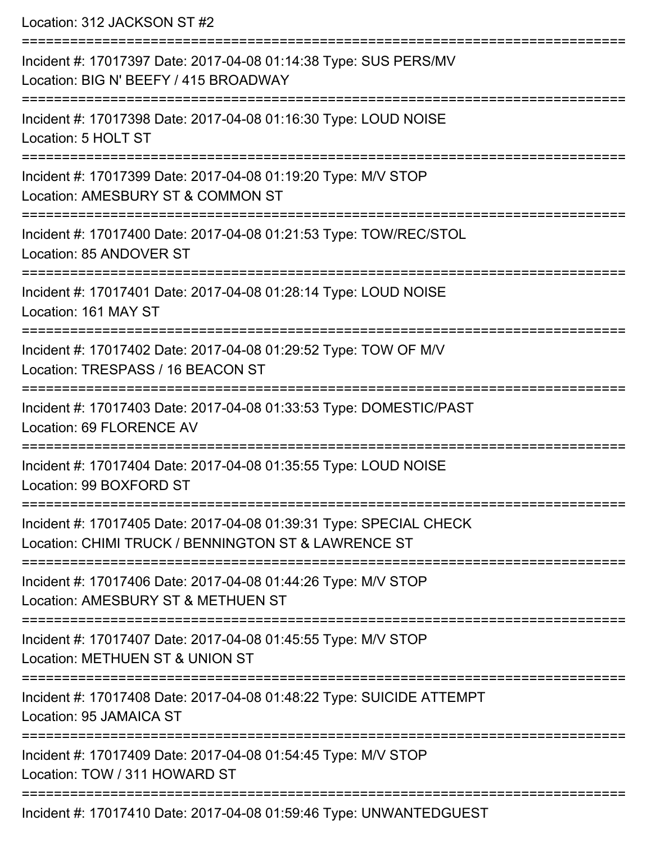Location: 312 JACKSON ST #2

| Incident #: 17017397 Date: 2017-04-08 01:14:38 Type: SUS PERS/MV<br>Location: BIG N' BEEFY / 415 BROADWAY                 |
|---------------------------------------------------------------------------------------------------------------------------|
| Incident #: 17017398 Date: 2017-04-08 01:16:30 Type: LOUD NOISE<br>Location: 5 HOLT ST                                    |
| Incident #: 17017399 Date: 2017-04-08 01:19:20 Type: M/V STOP<br>Location: AMESBURY ST & COMMON ST                        |
| Incident #: 17017400 Date: 2017-04-08 01:21:53 Type: TOW/REC/STOL<br>Location: 85 ANDOVER ST                              |
| Incident #: 17017401 Date: 2017-04-08 01:28:14 Type: LOUD NOISE<br>Location: 161 MAY ST                                   |
| Incident #: 17017402 Date: 2017-04-08 01:29:52 Type: TOW OF M/V<br>Location: TRESPASS / 16 BEACON ST                      |
| Incident #: 17017403 Date: 2017-04-08 01:33:53 Type: DOMESTIC/PAST<br>Location: 69 FLORENCE AV                            |
| Incident #: 17017404 Date: 2017-04-08 01:35:55 Type: LOUD NOISE<br>Location: 99 BOXFORD ST                                |
| Incident #: 17017405 Date: 2017-04-08 01:39:31 Type: SPECIAL CHECK<br>Location: CHIMI TRUCK / BENNINGTON ST & LAWRENCE ST |
| Incident #: 17017406 Date: 2017-04-08 01:44:26 Type: M/V STOP<br>Location: AMESBURY ST & METHUEN ST                       |
| ============<br>Incident #: 17017407 Date: 2017-04-08 01:45:55 Type: M/V STOP<br>Location: METHUEN ST & UNION ST          |
| Incident #: 17017408 Date: 2017-04-08 01:48:22 Type: SUICIDE ATTEMPT<br>Location: 95 JAMAICA ST                           |
| Incident #: 17017409 Date: 2017-04-08 01:54:45 Type: M/V STOP<br>Location: TOW / 311 HOWARD ST                            |
| Incident #: 17017410 Date: 2017-04-08 01:59:46 Type: UNWANTEDGUEST                                                        |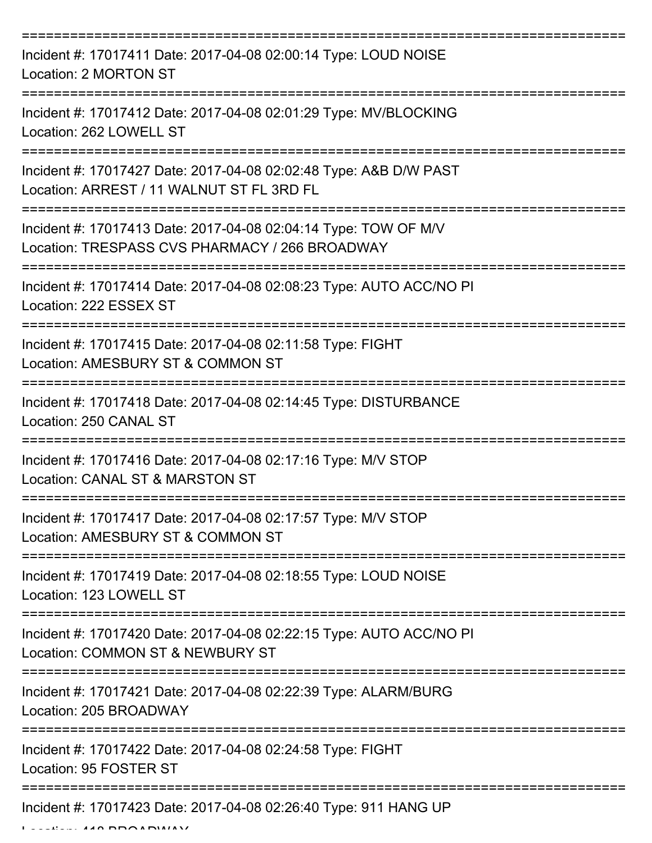| Incident #: 17017411 Date: 2017-04-08 02:00:14 Type: LOUD NOISE<br>Location: 2 MORTON ST                          |
|-------------------------------------------------------------------------------------------------------------------|
| Incident #: 17017412 Date: 2017-04-08 02:01:29 Type: MV/BLOCKING<br>Location: 262 LOWELL ST                       |
| Incident #: 17017427 Date: 2017-04-08 02:02:48 Type: A&B D/W PAST<br>Location: ARREST / 11 WALNUT ST FL 3RD FL    |
| Incident #: 17017413 Date: 2017-04-08 02:04:14 Type: TOW OF M/V<br>Location: TRESPASS CVS PHARMACY / 266 BROADWAY |
| Incident #: 17017414 Date: 2017-04-08 02:08:23 Type: AUTO ACC/NO PI<br>Location: 222 ESSEX ST                     |
| Incident #: 17017415 Date: 2017-04-08 02:11:58 Type: FIGHT<br>Location: AMESBURY ST & COMMON ST                   |
| Incident #: 17017418 Date: 2017-04-08 02:14:45 Type: DISTURBANCE<br>Location: 250 CANAL ST                        |
| Incident #: 17017416 Date: 2017-04-08 02:17:16 Type: M/V STOP<br>Location: CANAL ST & MARSTON ST                  |
| Incident #: 17017417 Date: 2017-04-08 02:17:57 Type: M/V STOP<br>Location: AMESBURY ST & COMMON ST                |
| Incident #: 17017419 Date: 2017-04-08 02:18:55 Type: LOUD NOISE<br>Location: 123 LOWELL ST                        |
| Incident #: 17017420 Date: 2017-04-08 02:22:15 Type: AUTO ACC/NO PI<br>Location: COMMON ST & NEWBURY ST           |
| Incident #: 17017421 Date: 2017-04-08 02:22:39 Type: ALARM/BURG<br>Location: 205 BROADWAY                         |
| Incident #: 17017422 Date: 2017-04-08 02:24:58 Type: FIGHT<br>Location: 95 FOSTER ST                              |
| Incident #: 17017423 Date: 2017-04-08 02:26:40 Type: 911 HANG UP                                                  |

 $L = L/L = 448 BBA$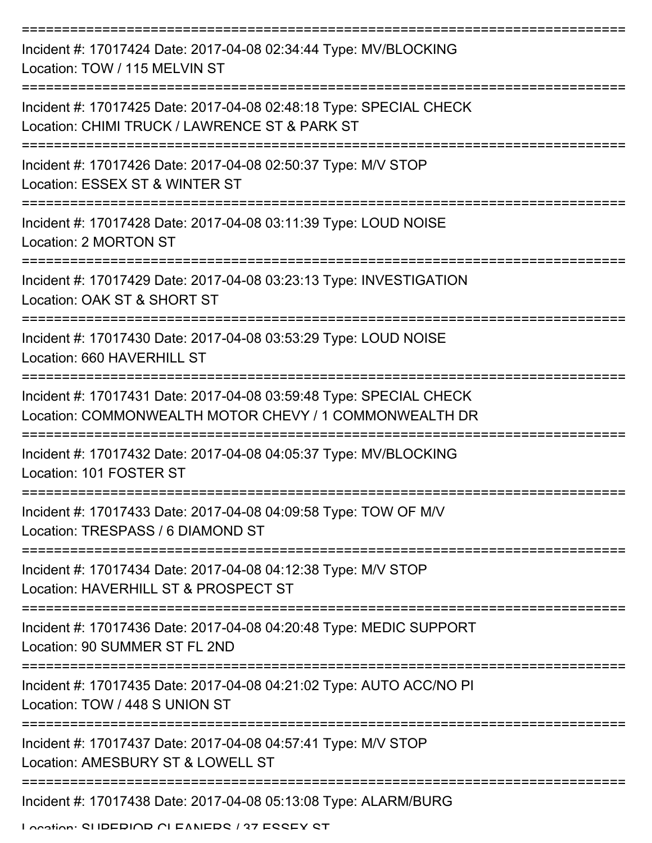| Incident #: 17017424 Date: 2017-04-08 02:34:44 Type: MV/BLOCKING<br>Location: TOW / 115 MELVIN ST                            |
|------------------------------------------------------------------------------------------------------------------------------|
| Incident #: 17017425 Date: 2017-04-08 02:48:18 Type: SPECIAL CHECK<br>Location: CHIMI TRUCK / LAWRENCE ST & PARK ST          |
| Incident #: 17017426 Date: 2017-04-08 02:50:37 Type: M/V STOP<br>Location: ESSEX ST & WINTER ST                              |
| Incident #: 17017428 Date: 2017-04-08 03:11:39 Type: LOUD NOISE<br>Location: 2 MORTON ST                                     |
| Incident #: 17017429 Date: 2017-04-08 03:23:13 Type: INVESTIGATION<br>Location: OAK ST & SHORT ST                            |
| Incident #: 17017430 Date: 2017-04-08 03:53:29 Type: LOUD NOISE<br>Location: 660 HAVERHILL ST                                |
| Incident #: 17017431 Date: 2017-04-08 03:59:48 Type: SPECIAL CHECK<br>Location: COMMONWEALTH MOTOR CHEVY / 1 COMMONWEALTH DR |
| Incident #: 17017432 Date: 2017-04-08 04:05:37 Type: MV/BLOCKING<br>Location: 101 FOSTER ST                                  |
| Incident #: 17017433 Date: 2017-04-08 04:09:58 Type: TOW OF M/V<br>Location: TRESPASS / 6 DIAMOND ST                         |
| Incident #: 17017434 Date: 2017-04-08 04:12:38 Type: M/V STOP<br>Location: HAVERHILL ST & PROSPECT ST                        |
| Incident #: 17017436 Date: 2017-04-08 04:20:48 Type: MEDIC SUPPORT<br>Location: 90 SUMMER ST FL 2ND                          |
| Incident #: 17017435 Date: 2017-04-08 04:21:02 Type: AUTO ACC/NO PI<br>Location: TOW / 448 S UNION ST                        |
| Incident #: 17017437 Date: 2017-04-08 04:57:41 Type: M/V STOP<br>Location: AMESBURY ST & LOWELL ST                           |
| Incident #: 17017438 Date: 2017-04-08 05:13:08 Type: ALARM/BURG                                                              |

Location: SHIDEDIAD ALEANEDS / 27 ESSEY ST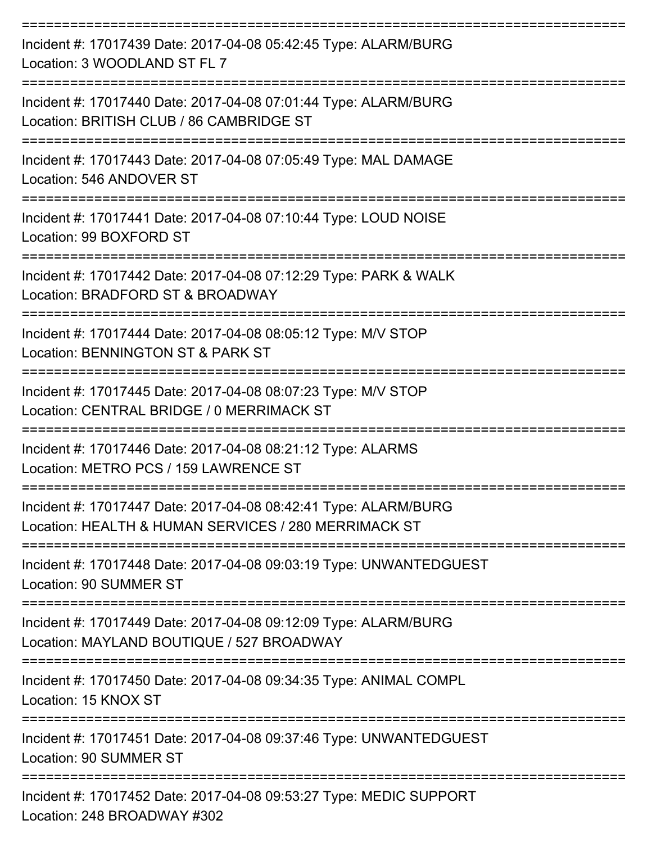| Incident #: 17017439 Date: 2017-04-08 05:42:45 Type: ALARM/BURG<br>Location: 3 WOODLAND ST FL 7                         |
|-------------------------------------------------------------------------------------------------------------------------|
| Incident #: 17017440 Date: 2017-04-08 07:01:44 Type: ALARM/BURG<br>Location: BRITISH CLUB / 86 CAMBRIDGE ST             |
| Incident #: 17017443 Date: 2017-04-08 07:05:49 Type: MAL DAMAGE<br>Location: 546 ANDOVER ST                             |
| Incident #: 17017441 Date: 2017-04-08 07:10:44 Type: LOUD NOISE<br>Location: 99 BOXFORD ST                              |
| Incident #: 17017442 Date: 2017-04-08 07:12:29 Type: PARK & WALK<br>Location: BRADFORD ST & BROADWAY                    |
| Incident #: 17017444 Date: 2017-04-08 08:05:12 Type: M/V STOP<br>Location: BENNINGTON ST & PARK ST                      |
| Incident #: 17017445 Date: 2017-04-08 08:07:23 Type: M/V STOP<br>Location: CENTRAL BRIDGE / 0 MERRIMACK ST              |
| Incident #: 17017446 Date: 2017-04-08 08:21:12 Type: ALARMS<br>Location: METRO PCS / 159 LAWRENCE ST                    |
| Incident #: 17017447 Date: 2017-04-08 08:42:41 Type: ALARM/BURG<br>Location: HEALTH & HUMAN SERVICES / 280 MERRIMACK ST |
| Incident #: 17017448 Date: 2017-04-08 09:03:19 Type: UNWANTEDGUEST<br><b>Location: 90 SUMMER ST</b>                     |
| Incident #: 17017449 Date: 2017-04-08 09:12:09 Type: ALARM/BURG<br>Location: MAYLAND BOUTIQUE / 527 BROADWAY            |
| Incident #: 17017450 Date: 2017-04-08 09:34:35 Type: ANIMAL COMPL<br>Location: 15 KNOX ST                               |
| Incident #: 17017451 Date: 2017-04-08 09:37:46 Type: UNWANTEDGUEST<br>Location: 90 SUMMER ST                            |
| Incident #: 17017452 Date: 2017-04-08 09:53:27 Type: MEDIC SUPPORT<br>Location: 248 BROADWAY #302                       |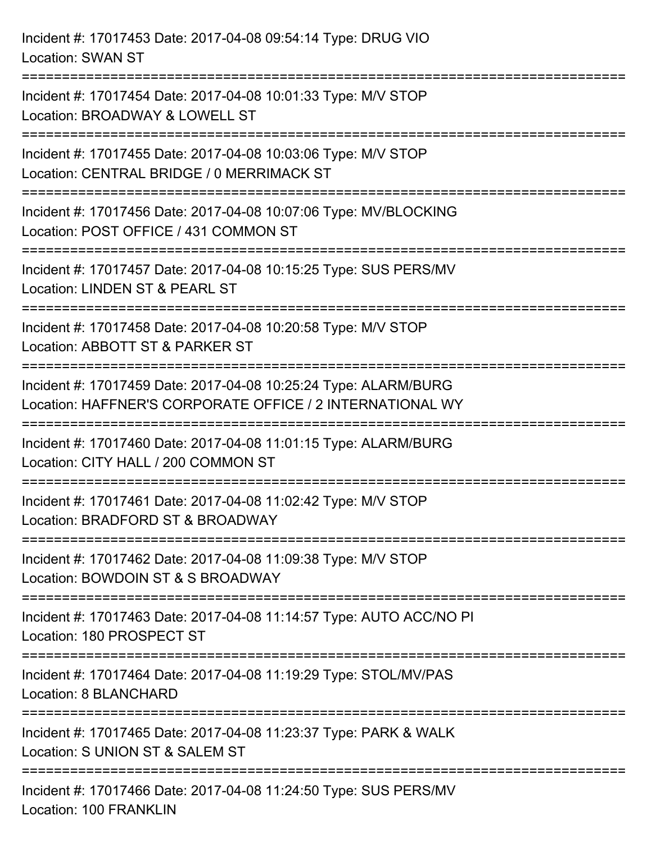Incident #: 17017453 Date: 2017-04-08 09:54:14 Type: DRUG VIO Location: SWAN ST =========================================================================== Incident #: 17017454 Date: 2017-04-08 10:01:33 Type: M/V STOP Location: BROADWAY & LOWELL ST =========================================================================== Incident #: 17017455 Date: 2017-04-08 10:03:06 Type: M/V STOP Location: CENTRAL BRIDGE / 0 MERRIMACK ST =========================================================================== Incident #: 17017456 Date: 2017-04-08 10:07:06 Type: MV/BLOCKING Location: POST OFFICE / 431 COMMON ST =========================================================================== Incident #: 17017457 Date: 2017-04-08 10:15:25 Type: SUS PERS/MV Location: LINDEN ST & PEARL ST =========================================================================== Incident #: 17017458 Date: 2017-04-08 10:20:58 Type: M/V STOP Location: ABBOTT ST & PARKER ST =========================================================================== Incident #: 17017459 Date: 2017-04-08 10:25:24 Type: ALARM/BURG Location: HAFFNER'S CORPORATE OFFICE / 2 INTERNATIONAL WY =========================================================================== Incident #: 17017460 Date: 2017-04-08 11:01:15 Type: ALARM/BURG Location: CITY HALL / 200 COMMON ST =========================================================================== Incident #: 17017461 Date: 2017-04-08 11:02:42 Type: M/V STOP Location: BRADFORD ST & BROADWAY =========================================================================== Incident #: 17017462 Date: 2017-04-08 11:09:38 Type: M/V STOP Location: BOWDOIN ST & S BROADWAY =========================================================================== Incident #: 17017463 Date: 2017-04-08 11:14:57 Type: AUTO ACC/NO PI Location: 180 PROSPECT ST =========================================================================== Incident #: 17017464 Date: 2017-04-08 11:19:29 Type: STOL/MV/PAS Location: 8 BLANCHARD =========================================================================== Incident #: 17017465 Date: 2017-04-08 11:23:37 Type: PARK & WALK Location: S UNION ST & SALEM ST =========================================================================== Incident #: 17017466 Date: 2017-04-08 11:24:50 Type: SUS PERS/MV Location: 100 FRANKLIN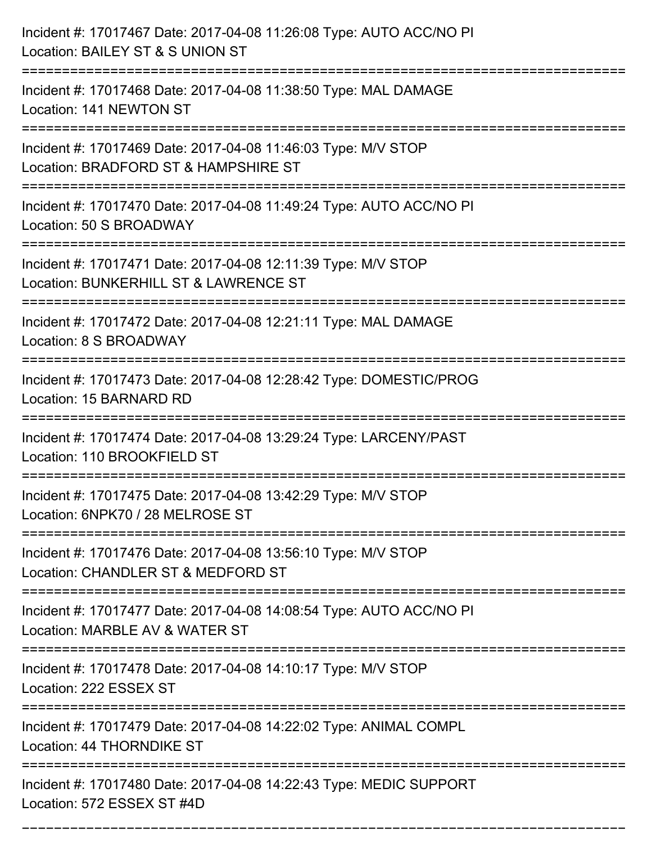| Incident #: 17017467 Date: 2017-04-08 11:26:08 Type: AUTO ACC/NO PI<br>Location: BAILEY ST & S UNION ST                                     |
|---------------------------------------------------------------------------------------------------------------------------------------------|
| ----------------------------------<br>Incident #: 17017468 Date: 2017-04-08 11:38:50 Type: MAL DAMAGE<br>Location: 141 NEWTON ST            |
| Incident #: 17017469 Date: 2017-04-08 11:46:03 Type: M/V STOP<br>Location: BRADFORD ST & HAMPSHIRE ST                                       |
| Incident #: 17017470 Date: 2017-04-08 11:49:24 Type: AUTO ACC/NO PI<br>Location: 50 S BROADWAY                                              |
| Incident #: 17017471 Date: 2017-04-08 12:11:39 Type: M/V STOP<br>Location: BUNKERHILL ST & LAWRENCE ST<br>================================= |
| Incident #: 17017472 Date: 2017-04-08 12:21:11 Type: MAL DAMAGE<br>Location: 8 S BROADWAY                                                   |
| Incident #: 17017473 Date: 2017-04-08 12:28:42 Type: DOMESTIC/PROG<br>Location: 15 BARNARD RD                                               |
| Incident #: 17017474 Date: 2017-04-08 13:29:24 Type: LARCENY/PAST<br>Location: 110 BROOKFIELD ST                                            |
| Incident #: 17017475 Date: 2017-04-08 13:42:29 Type: M/V STOP<br>Location: 6NPK70 / 28 MELROSE ST                                           |
| Incident #: 17017476 Date: 2017-04-08 13:56:10 Type: M/V STOP<br>Location: CHANDLER ST & MEDFORD ST                                         |
| Incident #: 17017477 Date: 2017-04-08 14:08:54 Type: AUTO ACC/NO PI<br>Location: MARBLE AV & WATER ST                                       |
| Incident #: 17017478 Date: 2017-04-08 14:10:17 Type: M/V STOP<br>Location: 222 ESSEX ST                                                     |
| Incident #: 17017479 Date: 2017-04-08 14:22:02 Type: ANIMAL COMPL<br>Location: 44 THORNDIKE ST                                              |
| Incident #: 17017480 Date: 2017-04-08 14:22:43 Type: MEDIC SUPPORT<br>Location: 572 ESSEX ST #4D                                            |

===========================================================================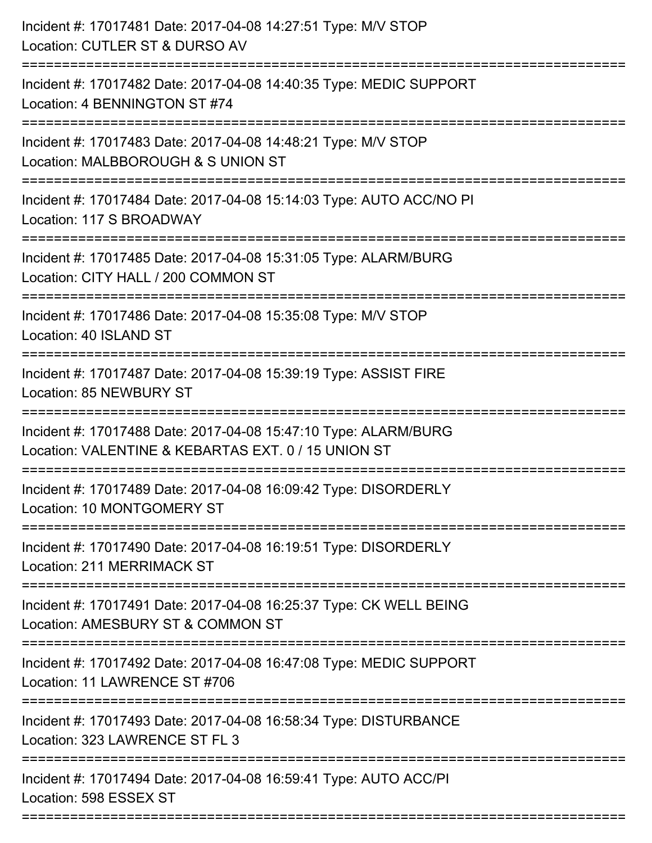| Incident #: 17017481 Date: 2017-04-08 14:27:51 Type: M/V STOP<br>Location: CUTLER ST & DURSO AV                                        |
|----------------------------------------------------------------------------------------------------------------------------------------|
| Incident #: 17017482 Date: 2017-04-08 14:40:35 Type: MEDIC SUPPORT<br>Location: 4 BENNINGTON ST #74                                    |
| Incident #: 17017483 Date: 2017-04-08 14:48:21 Type: M/V STOP<br>Location: MALBBOROUGH & S UNION ST<br>====================            |
| Incident #: 17017484 Date: 2017-04-08 15:14:03 Type: AUTO ACC/NO PI<br>Location: 117 S BROADWAY                                        |
| Incident #: 17017485 Date: 2017-04-08 15:31:05 Type: ALARM/BURG<br>Location: CITY HALL / 200 COMMON ST<br>============================ |
| Incident #: 17017486 Date: 2017-04-08 15:35:08 Type: M/V STOP<br>Location: 40 ISLAND ST                                                |
| Incident #: 17017487 Date: 2017-04-08 15:39:19 Type: ASSIST FIRE<br>Location: 85 NEWBURY ST<br>==================================      |
| Incident #: 17017488 Date: 2017-04-08 15:47:10 Type: ALARM/BURG<br>Location: VALENTINE & KEBARTAS EXT. 0 / 15 UNION ST                 |
| Incident #: 17017489 Date: 2017-04-08 16:09:42 Type: DISORDERLY<br>Location: 10 MONTGOMERY ST                                          |
| Incident #: 17017490 Date: 2017-04-08 16:19:51 Type: DISORDERLY<br><b>Location: 211 MERRIMACK ST</b>                                   |
| Incident #: 17017491 Date: 2017-04-08 16:25:37 Type: CK WELL BEING<br>Location: AMESBURY ST & COMMON ST                                |
| -------------------------<br>Incident #: 17017492 Date: 2017-04-08 16:47:08 Type: MEDIC SUPPORT<br>Location: 11 LAWRENCE ST #706       |
| Incident #: 17017493 Date: 2017-04-08 16:58:34 Type: DISTURBANCE<br>Location: 323 LAWRENCE ST FL 3                                     |
| Incident #: 17017494 Date: 2017-04-08 16:59:41 Type: AUTO ACC/PI<br>Location: 598 ESSEX ST                                             |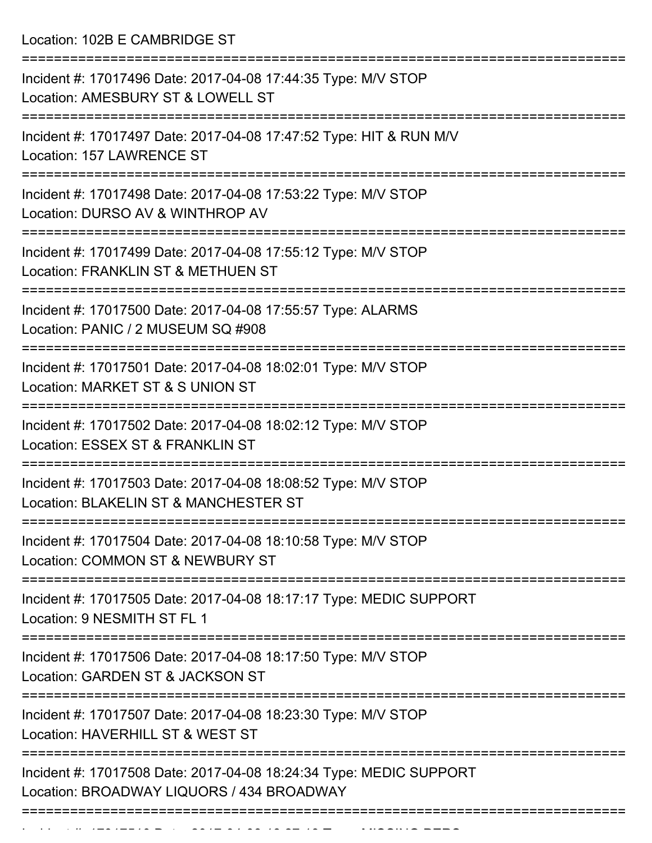Location: 102B E CAMBRIDGE ST

| Incident #: 17017496 Date: 2017-04-08 17:44:35 Type: M/V STOP<br>Location: AMESBURY ST & LOWELL ST              |
|-----------------------------------------------------------------------------------------------------------------|
| Incident #: 17017497 Date: 2017-04-08 17:47:52 Type: HIT & RUN M/V<br>Location: 157 LAWRENCE ST                 |
| Incident #: 17017498 Date: 2017-04-08 17:53:22 Type: M/V STOP<br>Location: DURSO AV & WINTHROP AV               |
| Incident #: 17017499 Date: 2017-04-08 17:55:12 Type: M/V STOP<br>Location: FRANKLIN ST & METHUEN ST             |
| Incident #: 17017500 Date: 2017-04-08 17:55:57 Type: ALARMS<br>Location: PANIC / 2 MUSEUM SQ #908               |
| Incident #: 17017501 Date: 2017-04-08 18:02:01 Type: M/V STOP<br>Location: MARKET ST & S UNION ST               |
| Incident #: 17017502 Date: 2017-04-08 18:02:12 Type: M/V STOP<br>Location: ESSEX ST & FRANKLIN ST               |
| Incident #: 17017503 Date: 2017-04-08 18:08:52 Type: M/V STOP<br>Location: BLAKELIN ST & MANCHESTER ST          |
| Incident #: 17017504 Date: 2017-04-08 18:10:58 Type: M/V STOP<br>Location: COMMON ST & NEWBURY ST               |
| Incident #: 17017505 Date: 2017-04-08 18:17:17 Type: MEDIC SUPPORT<br>Location: 9 NESMITH ST FL 1               |
| Incident #: 17017506 Date: 2017-04-08 18:17:50 Type: M/V STOP<br>Location: GARDEN ST & JACKSON ST               |
| Incident #: 17017507 Date: 2017-04-08 18:23:30 Type: M/V STOP<br>Location: HAVERHILL ST & WEST ST               |
| Incident #: 17017508 Date: 2017-04-08 18:24:34 Type: MEDIC SUPPORT<br>Location: BROADWAY LIQUORS / 434 BROADWAY |
|                                                                                                                 |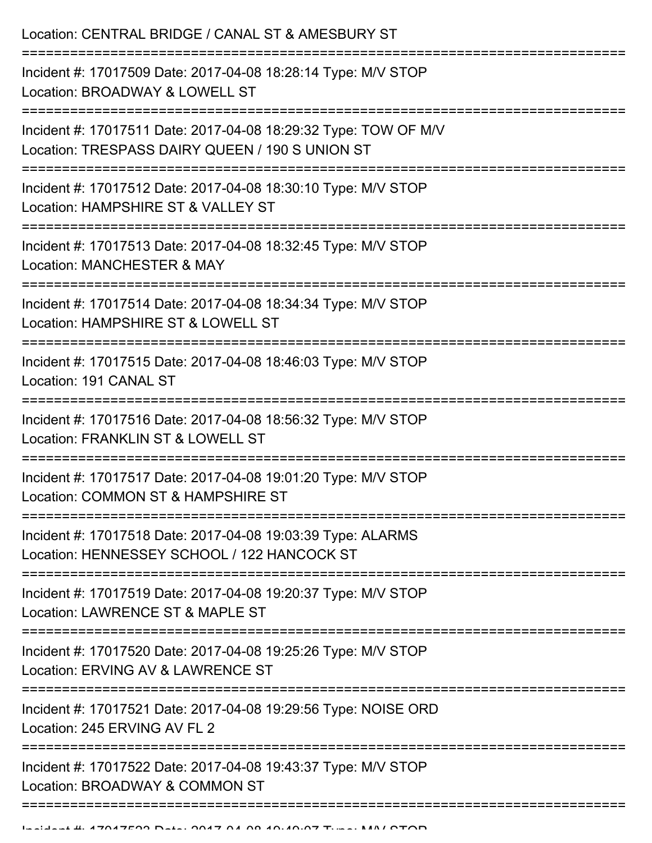| Location: CENTRAL BRIDGE / CANAL ST & AMESBURY ST                                                                                                |
|--------------------------------------------------------------------------------------------------------------------------------------------------|
| Incident #: 17017509 Date: 2017-04-08 18:28:14 Type: M/V STOP<br>Location: BROADWAY & LOWELL ST                                                  |
| Incident #: 17017511 Date: 2017-04-08 18:29:32 Type: TOW OF M/V<br>Location: TRESPASS DAIRY QUEEN / 190 S UNION ST<br>.------------------------- |
| Incident #: 17017512 Date: 2017-04-08 18:30:10 Type: M/V STOP<br>Location: HAMPSHIRE ST & VALLEY ST                                              |
| Incident #: 17017513 Date: 2017-04-08 18:32:45 Type: M/V STOP<br>Location: MANCHESTER & MAY                                                      |
| Incident #: 17017514 Date: 2017-04-08 18:34:34 Type: M/V STOP<br>Location: HAMPSHIRE ST & LOWELL ST                                              |
| Incident #: 17017515 Date: 2017-04-08 18:46:03 Type: M/V STOP<br>Location: 191 CANAL ST                                                          |
| Incident #: 17017516 Date: 2017-04-08 18:56:32 Type: M/V STOP<br>Location: FRANKLIN ST & LOWELL ST                                               |
| Incident #: 17017517 Date: 2017-04-08 19:01:20 Type: M/V STOP<br>Location: COMMON ST & HAMPSHIRE ST                                              |
| Incident #: 17017518 Date: 2017-04-08 19:03:39 Type: ALARMS<br>Location: HENNESSEY SCHOOL / 122 HANCOCK ST                                       |
| Incident #: 17017519 Date: 2017-04-08 19:20:37 Type: M/V STOP<br>Location: LAWRENCE ST & MAPLE ST                                                |
| Incident #: 17017520 Date: 2017-04-08 19:25:26 Type: M/V STOP<br>Location: ERVING AV & LAWRENCE ST                                               |
| Incident #: 17017521 Date: 2017-04-08 19:29:56 Type: NOISE ORD<br>Location: 245 ERVING AV FL 2                                                   |
| Incident #: 17017522 Date: 2017-04-08 19:43:37 Type: M/V STOP<br>Location: BROADWAY & COMMON ST                                                  |
|                                                                                                                                                  |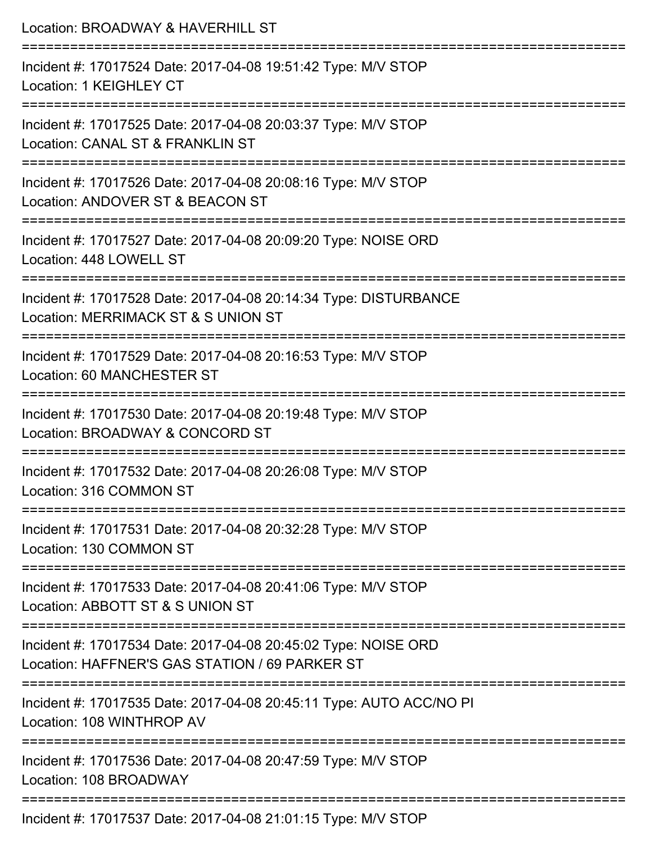| Location: BROADWAY & HAVERHILL ST                                                                                                   |
|-------------------------------------------------------------------------------------------------------------------------------------|
| Incident #: 17017524 Date: 2017-04-08 19:51:42 Type: M/V STOP<br>Location: 1 KEIGHLEY CT                                            |
| Incident #: 17017525 Date: 2017-04-08 20:03:37 Type: M/V STOP<br>Location: CANAL ST & FRANKLIN ST                                   |
| Incident #: 17017526 Date: 2017-04-08 20:08:16 Type: M/V STOP<br>Location: ANDOVER ST & BEACON ST<br>:============================= |
| Incident #: 17017527 Date: 2017-04-08 20:09:20 Type: NOISE ORD<br>Location: 448 LOWELL ST                                           |
| Incident #: 17017528 Date: 2017-04-08 20:14:34 Type: DISTURBANCE<br>Location: MERRIMACK ST & S UNION ST<br>===================      |
| Incident #: 17017529 Date: 2017-04-08 20:16:53 Type: M/V STOP<br>Location: 60 MANCHESTER ST                                         |
| Incident #: 17017530 Date: 2017-04-08 20:19:48 Type: M/V STOP<br>Location: BROADWAY & CONCORD ST                                    |
| Incident #: 17017532 Date: 2017-04-08 20:26:08 Type: M/V STOP<br>Location: 316 COMMON ST                                            |
| ---------------------------<br>Incident #: 17017531 Date: 2017-04-08 20:32:28 Type: M/V STOP<br>Location: 130 COMMON ST             |
| Incident #: 17017533 Date: 2017-04-08 20:41:06 Type: M/V STOP<br>Location: ABBOTT ST & S UNION ST                                   |
| Incident #: 17017534 Date: 2017-04-08 20:45:02 Type: NOISE ORD<br>Location: HAFFNER'S GAS STATION / 69 PARKER ST                    |
| Incident #: 17017535 Date: 2017-04-08 20:45:11 Type: AUTO ACC/NO PI<br>Location: 108 WINTHROP AV                                    |
| Incident #: 17017536 Date: 2017-04-08 20:47:59 Type: M/V STOP<br>Location: 108 BROADWAY                                             |
|                                                                                                                                     |

Incident #: 17017537 Date: 2017-04-08 21:01:15 Type: M/V STOP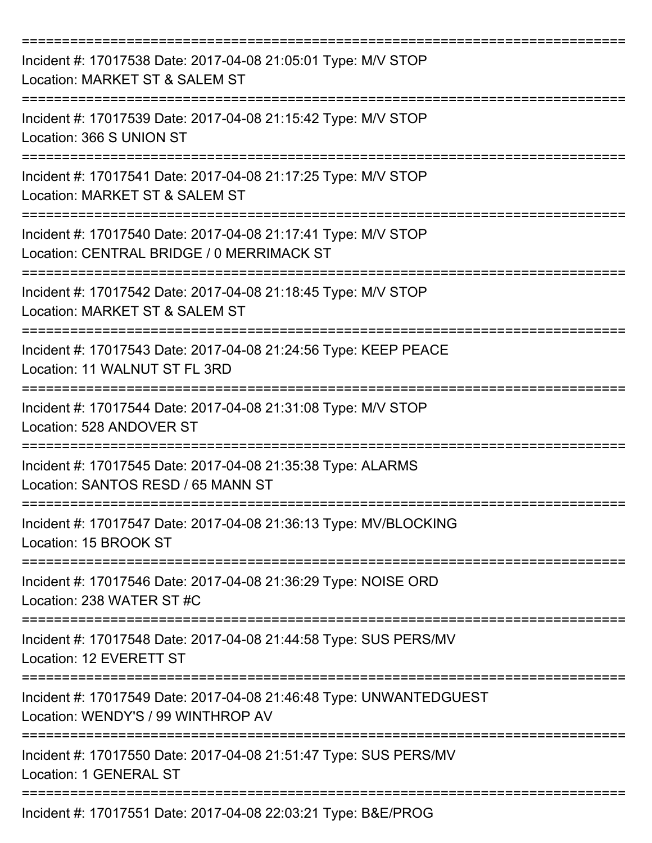| Incident #: 17017538 Date: 2017-04-08 21:05:01 Type: M/V STOP<br>Location: MARKET ST & SALEM ST            |
|------------------------------------------------------------------------------------------------------------|
| Incident #: 17017539 Date: 2017-04-08 21:15:42 Type: M/V STOP<br>Location: 366 S UNION ST                  |
| Incident #: 17017541 Date: 2017-04-08 21:17:25 Type: M/V STOP<br>Location: MARKET ST & SALEM ST            |
| Incident #: 17017540 Date: 2017-04-08 21:17:41 Type: M/V STOP<br>Location: CENTRAL BRIDGE / 0 MERRIMACK ST |
| Incident #: 17017542 Date: 2017-04-08 21:18:45 Type: M/V STOP<br>Location: MARKET ST & SALEM ST            |
| Incident #: 17017543 Date: 2017-04-08 21:24:56 Type: KEEP PEACE<br>Location: 11 WALNUT ST FL 3RD           |
| Incident #: 17017544 Date: 2017-04-08 21:31:08 Type: M/V STOP<br>Location: 528 ANDOVER ST<br>=========     |
| Incident #: 17017545 Date: 2017-04-08 21:35:38 Type: ALARMS<br>Location: SANTOS RESD / 65 MANN ST          |
| Incident #: 17017547 Date: 2017-04-08 21:36:13 Type: MV/BLOCKING<br>Location: 15 BROOK ST                  |
| Incident #: 17017546 Date: 2017-04-08 21:36:29 Type: NOISE ORD<br>Location: 238 WATER ST #C                |
| Incident #: 17017548 Date: 2017-04-08 21:44:58 Type: SUS PERS/MV<br>Location: 12 EVERETT ST                |
| Incident #: 17017549 Date: 2017-04-08 21:46:48 Type: UNWANTEDGUEST<br>Location: WENDY'S / 99 WINTHROP AV   |
| Incident #: 17017550 Date: 2017-04-08 21:51:47 Type: SUS PERS/MV<br>Location: 1 GENERAL ST                 |
| Incident #: 17017551 Date: 2017-04-08 22:03:21 Type: B&E/PROG                                              |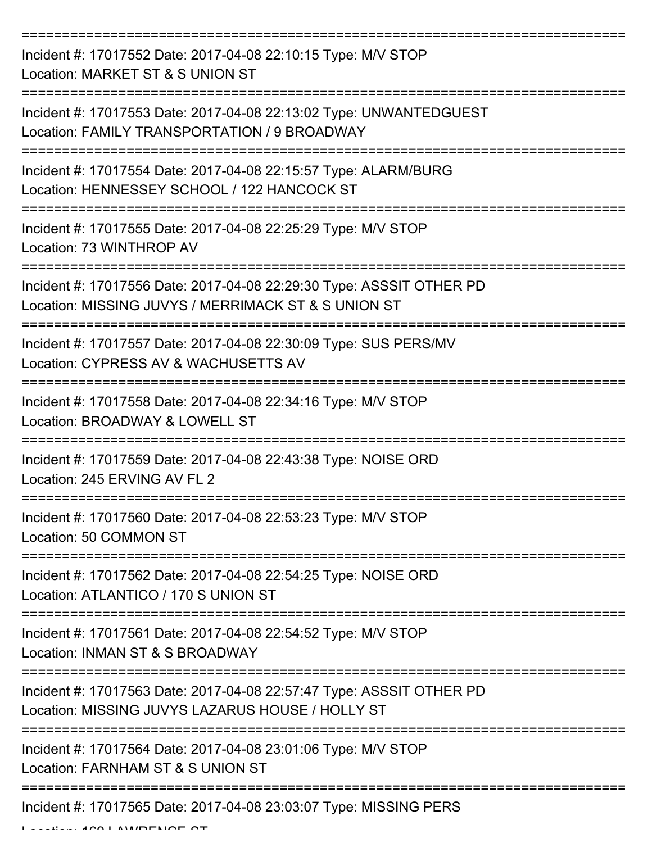| Incident #: 17017552 Date: 2017-04-08 22:10:15 Type: M/V STOP<br>Location: MARKET ST & S UNION ST                           |
|-----------------------------------------------------------------------------------------------------------------------------|
| Incident #: 17017553 Date: 2017-04-08 22:13:02 Type: UNWANTEDGUEST<br>Location: FAMILY TRANSPORTATION / 9 BROADWAY          |
| Incident #: 17017554 Date: 2017-04-08 22:15:57 Type: ALARM/BURG<br>Location: HENNESSEY SCHOOL / 122 HANCOCK ST              |
| Incident #: 17017555 Date: 2017-04-08 22:25:29 Type: M/V STOP<br>Location: 73 WINTHROP AV                                   |
| Incident #: 17017556 Date: 2017-04-08 22:29:30 Type: ASSSIT OTHER PD<br>Location: MISSING JUVYS / MERRIMACK ST & S UNION ST |
| Incident #: 17017557 Date: 2017-04-08 22:30:09 Type: SUS PERS/MV<br>Location: CYPRESS AV & WACHUSETTS AV                    |
| Incident #: 17017558 Date: 2017-04-08 22:34:16 Type: M/V STOP<br>Location: BROADWAY & LOWELL ST                             |
| Incident #: 17017559 Date: 2017-04-08 22:43:38 Type: NOISE ORD<br>Location: 245 ERVING AV FL 2                              |
| Incident #: 17017560 Date: 2017-04-08 22:53:23 Type: M/V STOP<br>Location: 50 COMMON ST                                     |
| Incident #: 17017562 Date: 2017-04-08 22:54:25 Type: NOISE ORD<br>Location: ATLANTICO / 170 S UNION ST                      |
| Incident #: 17017561 Date: 2017-04-08 22:54:52 Type: M/V STOP<br>Location: INMAN ST & S BROADWAY                            |
| Incident #: 17017563 Date: 2017-04-08 22:57:47 Type: ASSSIT OTHER PD<br>Location: MISSING JUVYS LAZARUS HOUSE / HOLLY ST    |
| Incident #: 17017564 Date: 2017-04-08 23:01:06 Type: M/V STOP<br>Location: FARNHAM ST & S UNION ST                          |
| Incident #: 17017565 Date: 2017-04-08 23:03:07 Type: MISSING PERS                                                           |